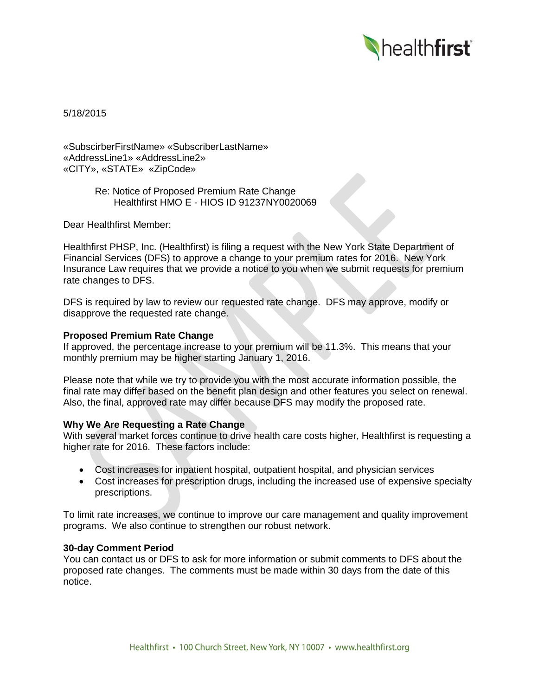

5/18/2015

«SubscirberFirstName» «SubscriberLastName» «AddressLine1» «AddressLine2» «CITY», «STATE» «ZipCode»

> Re: Notice of Proposed Premium Rate Change Healthfirst HMO E - HIOS ID 91237NY0020069

Dear Healthfirst Member:

Healthfirst PHSP, Inc. (Healthfirst) is filing a request with the New York State Department of Financial Services (DFS) to approve a change to your premium rates for 2016. New York Insurance Law requires that we provide a notice to you when we submit requests for premium rate changes to DFS.

DFS is required by law to review our requested rate change. DFS may approve, modify or disapprove the requested rate change.

## **Proposed Premium Rate Change**

If approved, the percentage increase to your premium will be 11.3%. This means that your monthly premium may be higher starting January 1, 2016.

Please note that while we try to provide you with the most accurate information possible, the final rate may differ based on the benefit plan design and other features you select on renewal. Also, the final, approved rate may differ because DFS may modify the proposed rate.

# **Why We Are Requesting a Rate Change**

With several market forces continue to drive health care costs higher, Healthfirst is requesting a higher rate for 2016. These factors include:

- Cost increases for inpatient hospital, outpatient hospital, and physician services
- Cost increases for prescription drugs, including the increased use of expensive specialty prescriptions.

To limit rate increases, we continue to improve our care management and quality improvement programs. We also continue to strengthen our robust network.

#### **30-day Comment Period**

You can contact us or DFS to ask for more information or submit comments to DFS about the proposed rate changes. The comments must be made within 30 days from the date of this notice.